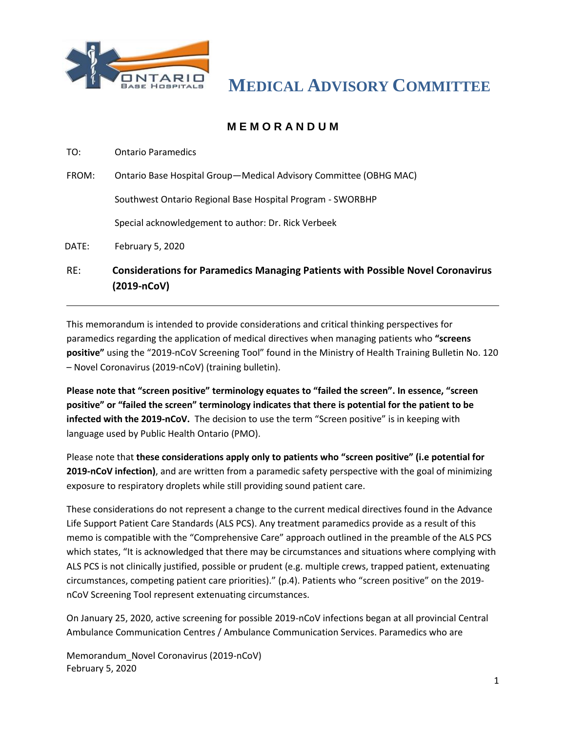

## **M E M O R A N D U M**

TO: Ontario Paramedics

FROM: Ontario Base Hospital Group—Medical Advisory Committee (OBHG MAC)

Southwest Ontario Regional Base Hospital Program - SWORBHP

Special acknowledgement to author: Dr. Rick Verbeek

DATE: February 5, 2020

RE: **Considerations for Paramedics Managing Patients with Possible Novel Coronavirus (2019-nCoV)**

This memorandum is intended to provide considerations and critical thinking perspectives for paramedics regarding the application of medical directives when managing patients who **"screens positive"** using the "2019-nCoV Screening Tool" found in the Ministry of Health Training Bulletin No. 120 – Novel Coronavirus (2019-nCoV) (training bulletin).

**Please note that "screen positive" terminology equates to "failed the screen". In essence, "screen positive" or "failed the screen" terminology indicates that there is potential for the patient to be infected with the 2019-nCoV.** The decision to use the term "Screen positive" is in keeping with language used by Public Health Ontario (PMO).

Please note that **these considerations apply only to patients who "screen positive" (i.e potential for 2019-nCoV infection)**, and are written from a paramedic safety perspective with the goal of minimizing exposure to respiratory droplets while still providing sound patient care.

These considerations do not represent a change to the current medical directives found in the Advance Life Support Patient Care Standards (ALS PCS). Any treatment paramedics provide as a result of this memo is compatible with the "Comprehensive Care" approach outlined in the preamble of the ALS PCS which states, "It is acknowledged that there may be circumstances and situations where complying with ALS PCS is not clinically justified, possible or prudent (e.g. multiple crews, trapped patient, extenuating circumstances, competing patient care priorities)." (p.4). Patients who "screen positive" on the 2019 nCoV Screening Tool represent extenuating circumstances.

On January 25, 2020, active screening for possible 2019-nCoV infections began at all provincial Central Ambulance Communication Centres / Ambulance Communication Services. Paramedics who are

Memorandum\_Novel Coronavirus (2019-nCoV) February 5, 2020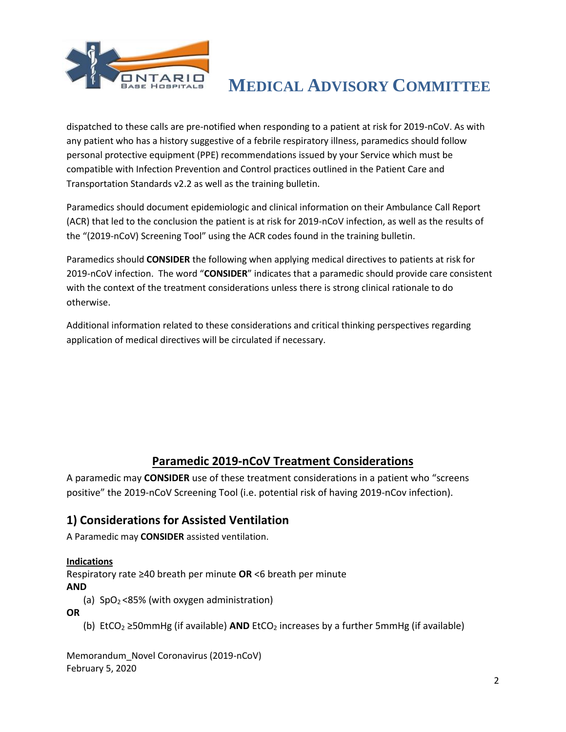

dispatched to these calls are pre-notified when responding to a patient at risk for 2019-nCoV. As with any patient who has a history suggestive of a febrile respiratory illness, paramedics should follow personal protective equipment (PPE) recommendations issued by your Service which must be compatible with Infection Prevention and Control practices outlined in the Patient Care and Transportation Standards v2.2 as well as the training bulletin.

Paramedics should document epidemiologic and clinical information on their Ambulance Call Report (ACR) that led to the conclusion the patient is at risk for 2019-nCoV infection, as well as the results of the "(2019-nCoV) Screening Tool" using the ACR codes found in the training bulletin.

Paramedics should **CONSIDER** the following when applying medical directives to patients at risk for 2019-nCoV infection. The word "**CONSIDER**" indicates that a paramedic should provide care consistent with the context of the treatment considerations unless there is strong clinical rationale to do otherwise.

Additional information related to these considerations and critical thinking perspectives regarding application of medical directives will be circulated if necessary.

## **Paramedic 2019-nCoV Treatment Considerations**

A paramedic may **CONSIDER** use of these treatment considerations in a patient who "screens positive" the 2019-nCoV Screening Tool (i.e. potential risk of having 2019-nCov infection).

## **1) Considerations for Assisted Ventilation**

A Paramedic may **CONSIDER** assisted ventilation.

#### **Indications**

Respiratory rate ≥40 breath per minute **OR** <6 breath per minute **AND** 

(a)  $SpO<sub>2</sub> < 85%$  (with oxygen administration)

**OR**

(b) EtCO<sup>2</sup> ≥50mmHg (if available) **AND** EtCO<sup>2</sup> increases by a further 5mmHg (if available)

Memorandum\_Novel Coronavirus (2019-nCoV) February 5, 2020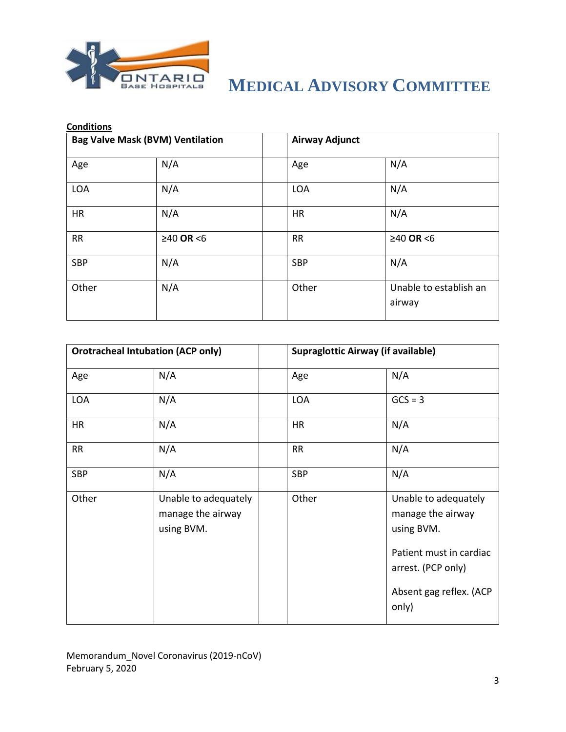

| <b>Conditions</b>                       |             |                       |                                  |  |  |
|-----------------------------------------|-------------|-----------------------|----------------------------------|--|--|
| <b>Bag Valve Mask (BVM) Ventilation</b> |             | <b>Airway Adjunct</b> |                                  |  |  |
| Age                                     | N/A         | Age                   | N/A                              |  |  |
| <b>LOA</b>                              | N/A         | <b>LOA</b>            | N/A                              |  |  |
| <b>HR</b>                               | N/A         | <b>HR</b>             | N/A                              |  |  |
| RR                                      | $≥40$ OR <6 | <b>RR</b>             | $≥40$ OR <6                      |  |  |
| <b>SBP</b>                              | N/A         | <b>SBP</b>            | N/A                              |  |  |
| Other                                   | N/A         | Other                 | Unable to establish an<br>airway |  |  |

| <b>Orotracheal Intubation (ACP only)</b> |                                                         | <b>Supraglottic Airway (if available)</b> |                                                                                                                                              |
|------------------------------------------|---------------------------------------------------------|-------------------------------------------|----------------------------------------------------------------------------------------------------------------------------------------------|
| Age                                      | N/A                                                     | Age                                       | N/A                                                                                                                                          |
| <b>LOA</b>                               | N/A                                                     | <b>LOA</b>                                | $GCS = 3$                                                                                                                                    |
| HR                                       | N/A                                                     | <b>HR</b>                                 | N/A                                                                                                                                          |
| RR                                       | N/A                                                     | <b>RR</b>                                 | N/A                                                                                                                                          |
| <b>SBP</b>                               | N/A                                                     | <b>SBP</b>                                | N/A                                                                                                                                          |
| Other                                    | Unable to adequately<br>manage the airway<br>using BVM. | Other                                     | Unable to adequately<br>manage the airway<br>using BVM.<br>Patient must in cardiac<br>arrest. (PCP only)<br>Absent gag reflex. (ACP<br>only) |

Memorandum\_Novel Coronavirus (2019-nCoV) February 5, 2020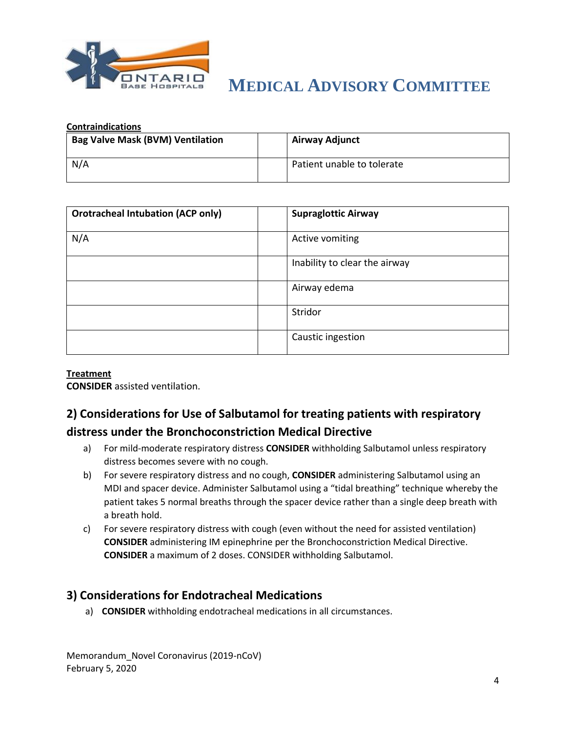

| <b>Contraindications</b>                |  |                            |  |  |
|-----------------------------------------|--|----------------------------|--|--|
| <b>Bag Valve Mask (BVM) Ventilation</b> |  | Airway Adjunct             |  |  |
|                                         |  |                            |  |  |
| N/A                                     |  | Patient unable to tolerate |  |  |

| <b>Orotracheal Intubation (ACP only)</b> | <b>Supraglottic Airway</b>    |
|------------------------------------------|-------------------------------|
| N/A                                      | Active vomiting               |
|                                          | Inability to clear the airway |
|                                          | Airway edema                  |
|                                          | Stridor                       |
|                                          | Caustic ingestion             |

#### **Treatment**

**CONSIDER** assisted ventilation.

## **2) Considerations for Use of Salbutamol for treating patients with respiratory distress under the Bronchoconstriction Medical Directive**

- a) For mild-moderate respiratory distress **CONSIDER** withholding Salbutamol unless respiratory distress becomes severe with no cough.
- b) For severe respiratory distress and no cough, **CONSIDER** administering Salbutamol using an MDI and spacer device. Administer Salbutamol using a "tidal breathing" technique whereby the patient takes 5 normal breaths through the spacer device rather than a single deep breath with a breath hold.
- c) For severe respiratory distress with cough (even without the need for assisted ventilation) **CONSIDER** administering IM epinephrine per the Bronchoconstriction Medical Directive. **CONSIDER** a maximum of 2 doses. CONSIDER withholding Salbutamol.

### **3) Considerations for Endotracheal Medications**

a) **CONSIDER** withholding endotracheal medications in all circumstances.